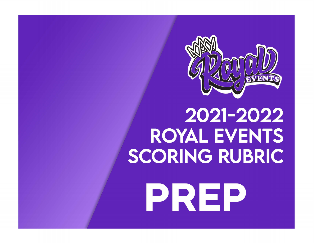

# 2021-2022 **ROYAL EVENTS SCORING RUBRIC** PREP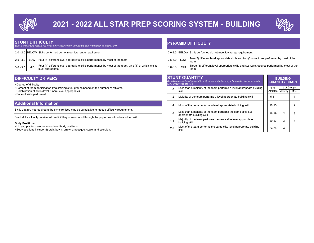

# 2021 - 2022 ALL STAR PREP SCORING SYSTEM - BUILDING



#### STUNT DIFFICULTY

|               | Stunt skills will only receive full credit if they show control through the pop or transition to another skill. |                                                                                                                             |  |             |            |                                                                                                      |
|---------------|-----------------------------------------------------------------------------------------------------------------|-----------------------------------------------------------------------------------------------------------------------------|--|-------------|------------|------------------------------------------------------------------------------------------------------|
|               |                                                                                                                 | 2.0 - 2.5 BELOW Skills performed do not meet low range requirement                                                          |  |             |            | 2.0-2.5 BELOW Skills performed do not meet low range requirement                                     |
| $ 2.5 - 3.0 $ | LOW                                                                                                             | Four (4) different level appropriate skills performance by most of the team                                                 |  | $2.5 - 3.0$ | LOW        | Two (2) different level appropriate skills and two (2) structures performed by most of the<br>!team  |
| $3.0 - 3.5$   |                                                                                                                 | Four (4) different level appropriate skills performance by most of the team, One (1) of which is elite<br>level appropriate |  | $3.0 - 3.5$ | <b>MID</b> | Three (3) different level appropriate skills and two (2) structures performed by most of th<br>!team |

#### **DIFFICULTY DRIVERS AND STUNT QUANTITY** IN THE STUNT QUANTITY

• Degree of difficulty

- Percent of team participation (maximizing stunt groups based on the number of athletes)
- Combination of skills (level & non-Level appropriate)

#### Body Positions

 $\cdot$  Body positions include: Stretch, bow & arrow, arabesque, scale, and scorpion.

#### PYRAMID DIFFICULTY

| Skills performed do not meet low range requirement                                                                          |             |            | 2.0-2.5 BELOW Skills performed do not meet low range requirement                                      |
|-----------------------------------------------------------------------------------------------------------------------------|-------------|------------|-------------------------------------------------------------------------------------------------------|
| Four (4) different level appropriate skills performance by most of the team                                                 | $2.5 - 3.0$ | LOW        | Two (2) different level appropriate skills and two (2) structures performed by most of the<br>'team   |
| Four (4) different level appropriate skills performance by most of the team, One (1) of which is elite<br>level appropriate | $3.0 - 3.5$ | <b>MID</b> | Three (3) different level appropriate skills and two (2) structures performed by most of the<br>⊥team |

## Based on a transitional group of four (4) or more, rippled or synchronized in the same section without recycling athletes.  $\overline{10}$  Less than a majority of the team performs a level appropriate building

| • Combination of skills (level & non-Level appropriate)                                                                                 |     | 7.U<br><b>Iskil</b>                                                 |           | Athletes   Maiority | Mo |
|-----------------------------------------------------------------------------------------------------------------------------------------|-----|---------------------------------------------------------------------|-----------|---------------------|----|
| • Pace of skills performed                                                                                                              |     | Majority of the team performs a level appropriate building skill    | $5 - 1$   |                     |    |
| <b>Additional Information</b>                                                                                                           |     | Most of the team performs a level appropriate building skill        | $12 - 15$ |                     |    |
| Skills that are not required to be synchronized may be cumulative to meet a difficulty requirement.                                     |     |                                                                     |           |                     |    |
|                                                                                                                                         | 1.6 | Less than a majority of the team performs the same elite level      | 16-19     |                     |    |
| Stunt skills will only receive full credit if they show control through the pop or transition to another skill.                         |     | appropriate building skill                                          |           |                     |    |
|                                                                                                                                         | 1.8 | Majority of the team performs the same elite level appropriate      | $20 - 23$ |                     |    |
| <b>Body Positions</b>                                                                                                                   |     | Ibuildina skill                                                     |           |                     |    |
| • Lib and platform are not considered body positions<br>• Body positions include: Stretch, bow & arrow, arabesque, scale, and scorpion. | 2.0 | Most of the team performs the same elite level appropriate building | 24-30     |                     |    |

### **BUILDING** QUANTITY CHART # of Athletes # of Groups Majority Most

| $16-19$   | 2 | 3 |
|-----------|---|---|
| $20 - 23$ | 3 | 4 |
| 24-30     |   | 5 |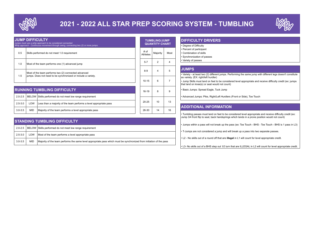

# 2021 - 2022 ALL STAR PREP SCORING SYSTEM - TUMBLING



| <b>JUMP DIFFICULTY</b> |            | Jumps must use a whip approach to be considered connected.<br>Whip approach - Continuous movement through swing, connecting two (2) or more jumps. |                  | <b>TUMBLING/JUMP</b><br><b>QUANTITY CHART</b> |      | <b>DIFFICULTY</b><br>• Degree of Difficu                         |
|------------------------|------------|----------------------------------------------------------------------------------------------------------------------------------------------------|------------------|-----------------------------------------------|------|------------------------------------------------------------------|
| 0.5                    |            | Skills performed do not meet 1.0 requirement                                                                                                       | # of<br>Athletes | Majority                                      | Most | • Percent of partici<br>• Combination of s<br>• Synchronization  |
| 1.0                    |            | Most of the team performs one (1) advanced jump                                                                                                    | $5 - 7$          | $\overline{2}$                                | 4    | • Variety of passes                                              |
| 1.5                    |            | Most of the team performs two (2) connected advanced<br>jumps. Does not need to be synchronized or include a variety.                              | $8 - 9$          | 4                                             | 5    | <b>JUMPS</b><br>• Variety - at least                             |
|                        |            |                                                                                                                                                    | $10 - 15$        | 6                                             | 7    | as variety. (EX: rig<br>• Jump Skills must<br>that land on knee( |
|                        |            | <b>RUNNING TUMBLING DIFFICULTY</b>                                                                                                                 | 16-19            | 8                                             | 9    | • Basic Jumps: Sp                                                |
| $2.0 - 2.5$            |            | BELOW Skills performed do not meet low range requirement                                                                                           |                  |                                               |      | • Advanced Jumps                                                 |
| $2.5 - 3.0$            | LOW        | Less than a majority of the team performs a level appropriate pass                                                                                 | $20 - 25$        | 10                                            | 13   |                                                                  |
| $3.0 - 3.5$            | <b>MID</b> | Majority of the team performs a level appropriate pass                                                                                             | 26-30            | 14                                            | 16   | <b>ADDITIONA</b>                                                 |

|             | <b>STANDING TUMBLING DIFFICULTY</b> |                                                                                                                      |  |  |  |  |  |  |
|-------------|-------------------------------------|----------------------------------------------------------------------------------------------------------------------|--|--|--|--|--|--|
| $2.0 - 2.5$ |                                     | BELOW Skills performed do not meet low range requirement                                                             |  |  |  |  |  |  |
| $2.5 - 3.0$ | LOW                                 | Most of the team performs a level appropriate pass                                                                   |  |  |  |  |  |  |
| $3.0 - 3.5$ | <b>MID</b>                          | Majority of the team performs the same level appropriate pass which must be synchronized from initiation of the pass |  |  |  |  |  |  |

| <b>IDIFFICULTY DRIVERS</b>  |  |
|-----------------------------|--|
| • Degree of Difficulty      |  |
| • Percent of participant    |  |
| . Combination of skills     |  |
| · Synchronization of passes |  |
| • Variety of passes         |  |

#### $\frac{1}{5}$  JUMPS

• Variety - at least two (2) different jumps. Performing the same jump with different legs doesn't constitute as variety. (EX: right/left hurdler)

<sup>7</sup> <sup>•</sup> Jump Skills must land on feet to be considered level appropriate and receive difficulty credit (ex: jumps that land on knee(s) or seat would not count)

g | | Basic Jumps: Spread Eagle, Tuck Jump

• Advanced Jumps: Pike, Right/Left Hurdlers (Front or Side), Toe Touch

#### ADDITIONAL INFORMATION

• Tumbling passes must land on feet to be considered level appropriate and receive difficulty credit (ex: Jump 3/4 front flip to seat, back handsprings which lands in a prone position would not count)

• Jumps within a pass will not break up the pass (ex: Toe Touch - BHS - Toe Touch - BHS is 1 pass in L3)

• T-Jumps are not considered a jump and will break up a pass into two separate passes.

• L2 - No skills out of a round off that are illegal in L1 will count for level appropriate credit.

• L3- No skills out of a BHS step out 1⁄2 turn that are ILLEGAL in L2 will count for level appropriate credit.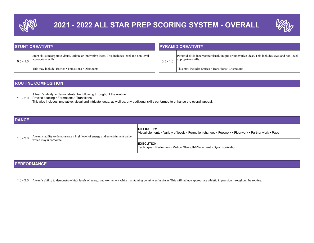



| <b>STUNT CREATIVITY</b> |                                                                                                                       |  | <b>PYRAMID CREATIVITY</b> |                                                                                                                           |  |  |
|-------------------------|-----------------------------------------------------------------------------------------------------------------------|--|---------------------------|---------------------------------------------------------------------------------------------------------------------------|--|--|
| $0.5 - 1.0$             | Stunt skills incorporate visual, unique or innovative ideas. This includes level and non-level<br>appropriate skills. |  | $0.5 - 1.0$               | Pyramid skills incorporate visual, unique or innovative ideas. This includes level and non-level  <br>appropriate skills. |  |  |
|                         | This may include: Entries • Transitions • Dismounts                                                                   |  |                           | This may include: Entries • Transitions • Dismounts                                                                       |  |  |

| <b>ROUTINE COMPOSITION</b>                                                                                                                                                                                                                                             |  |  |  |  |  |
|------------------------------------------------------------------------------------------------------------------------------------------------------------------------------------------------------------------------------------------------------------------------|--|--|--|--|--|
| A team's ability to demonstrate the following throughout the routine:<br>1.0 - 2.0 Precise spacing • Formations • Transitions<br>This also includes innovative, visual and intricate ideas, as well as, any additional skills performed to enhance the overall appeal. |  |  |  |  |  |

| <b>DANCE</b> |                                                                                |                                                                                                                             |  |  |  |  |  |
|--------------|--------------------------------------------------------------------------------|-----------------------------------------------------------------------------------------------------------------------------|--|--|--|--|--|
| $1.0 - 2.0$  | A team's ability to demonstrate a high level of energy and entertainment value | <b>DIFFICULTY:</b><br> Visual elements • Variety of levels • Formation changes • Footwork • Floorwork • Partner work • Pace |  |  |  |  |  |
|              | which may incorporate:                                                         | <b>EXECUTION:</b><br>Technique • Perfection • Motion Strength/Placement • Synchronization                                   |  |  |  |  |  |

| <b>PERFORMANCE</b>                                                                                                                                                                             |  |  |  |  |  |  |
|------------------------------------------------------------------------------------------------------------------------------------------------------------------------------------------------|--|--|--|--|--|--|
| 1.0 - 2.0 A team's ability to demonstrate high levels of energy and excitement while maintaining genuine enthusiasm. This will include appropriate athletic impression throughout the routine. |  |  |  |  |  |  |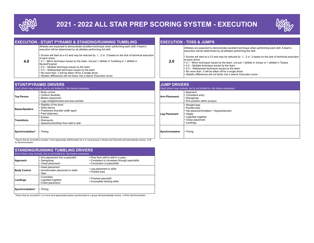

# 2021 - 2022 ALL STAR PREP SCORING SYSTEM - EXECUTION



|     | Athletes are expected to demonstrate excellent technique when performing each skill. A team's<br>execution will be determined by all athletes performing the skill.                                                                                                                                                                                                                                                                                                                               |     | Athletes are expected to demonstrate excellent technique when performing each skill. A team's<br>execution will be determined by all athletes performing the skill.                                                                                                                                                                                                                                                                                                                    |
|-----|---------------------------------------------------------------------------------------------------------------------------------------------------------------------------------------------------------------------------------------------------------------------------------------------------------------------------------------------------------------------------------------------------------------------------------------------------------------------------------------------------|-----|----------------------------------------------------------------------------------------------------------------------------------------------------------------------------------------------------------------------------------------------------------------------------------------------------------------------------------------------------------------------------------------------------------------------------------------------------------------------------------------|
| 4.0 | . Scores will start at a 4.0 and may be reduced by .1, .2 or .3 based on the lack of technical execution<br>lof each driver<br>• 0.1 - Minor technique issues by the team, not just 1 athlete in Tumbling or 1 athlete in<br>Stunts/Pyramid<br>$\cdot$ 0.2 – Multiple technique issues by the team<br>$\cdot$ 0.3 – Widespread technique issues by the team<br>. No more than .3 will be taken off for a single driver.<br>· Stylistic differences will not factor into a teams' Execution score. | 2.0 | Scores will start at a 2.0 and may be reduced by .1, .2 or .3 based on the lack of technical execution<br>of each driver<br>$\cdot$ 0.1 - Minor technique issues by the team, not just 1 athlete in Jumps or 1 athlete in Tosses<br>$\cdot$ 0.2 – Multiple technique issues by the team<br>$\cdot$ 0.3 – Widespread technique issues by the team<br>. No more than .3 will be taken off for a single driver.<br>· Stylistic differences will not factor into a teams' Execution score. |

| Each driver may include, but is not limited to, the below examples: |                                                                                                            | Each driver may include, but                                          |                                                     |
|---------------------------------------------------------------------|------------------------------------------------------------------------------------------------------------|-----------------------------------------------------------------------|-----------------------------------------------------|
| <b>Top Person</b>                                                   | • Body control<br>l • Uniform flexibilitv<br>• Motion placement<br>. Legs straight/locked and toes pointed | <b>Arm Placement</b>                                                  | • Approa<br>l • Consis<br>• Swing<br>$\cdot$ Arm po |
| <b>Bases/Spotters</b>                                               | • Stability of the stunt<br>l Solid stance<br>• Positioned shoulder width apart<br>- Feet stationary       | • Straigh<br>• Pointe<br>$\cdot$ Hip pla<br>Leg Placement<br>• Height |                                                     |
| <b>Transitions</b>                                                  | • Entries<br>l ∙ Dismounts<br>. Speed/control/flow from skill to skill                                     |                                                                       | $\cdot$ Legs/fo<br>$\cdot$ Chest<br>l• Landin       |
| Synchronization*                                                    | $\cdot$ Timing                                                                                             | Synchronization                                                       | • Timing                                            |

| <b>JUMP DRIVERS</b><br>Each driver may include, but is not limited to, the below examples: |                                                                                                                                                        |  |  |  |
|--------------------------------------------------------------------------------------------|--------------------------------------------------------------------------------------------------------------------------------------------------------|--|--|--|
| <b>Arm Placement</b>                                                                       | • Approach<br>• Consistent entry<br>• Swing/prep<br>• Arm position within jump(s)                                                                      |  |  |  |
| <b>Leg Placement</b>                                                                       | • Straight legs<br>• Pointed toes<br>• Hip placement/rotation • Hyperextension<br>l• Height<br>• Legs/feet together<br>• Chest placement<br>• Landings |  |  |  |
| Synchronization                                                                            | • Timing                                                                                                                                               |  |  |  |

\*Teams that do not perform at least 1 level appropriate skill/transition by 2 or more groups in Stunts and Pyramids will automatically receive .3 off for Synchronization.

| <b>STANDING/RUNNING TUMBLING DRIVERS</b><br>Each driver may include, but is not limited to, the below examples: |                                                                        |                                                                                                                      |  |  |
|-----------------------------------------------------------------------------------------------------------------|------------------------------------------------------------------------|----------------------------------------------------------------------------------------------------------------------|--|--|
| Approach                                                                                                        | . Arm placement into a pass/skill<br>• Swing/prep<br>• Chest placement | • Flow from skill to skill in a pass<br>• Consistent or increases through pass/skills<br>• Connection of pass/skills |  |  |
| <b>Body Control</b>                                                                                             | • Head placement<br>• Arm/shoulder placement in skills<br>$\cdot$ Hips | • Leg placement in skills<br>• Pointed toes                                                                          |  |  |
| Landings                                                                                                        | • Controlled<br>• Legs/feet together<br>• Chest placement              | • Finished pass/skill<br>• Incomplete twisting skills                                                                |  |  |
| Synchronization*                                                                                                | $\cdot$ Timing                                                         |                                                                                                                      |  |  |

\*Teams that do not perform 2 or more level appropriate passes synchronized in a group will automatically receive .3 off for Synchronization.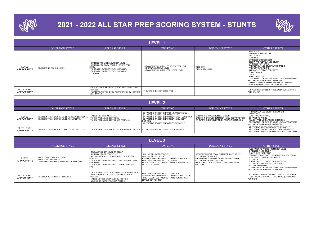

# 2021 - 2022 ALL STAR PREP SCORING SYSTEM - STUNTS



| <b>LEVEL 1</b>                    |                             |                                                                                                                                                                                            |                                                                                                                          |                                              |                                                                                                                                                                                                                                                                                                                                                                                                                                                                                                                                                              |
|-----------------------------------|-----------------------------|--------------------------------------------------------------------------------------------------------------------------------------------------------------------------------------------|--------------------------------------------------------------------------------------------------------------------------|----------------------------------------------|--------------------------------------------------------------------------------------------------------------------------------------------------------------------------------------------------------------------------------------------------------------------------------------------------------------------------------------------------------------------------------------------------------------------------------------------------------------------------------------------------------------------------------------------------------------|
|                                   | <b>INVERSION STYLE</b>      | <b>RELEASE STYLE</b>                                                                                                                                                                       | <b>TWISTING</b>                                                                                                          | <b>DISMOUNT STYLE</b>                        | <b>OTHER STUNTS</b>                                                                                                                                                                                                                                                                                                                                                                                                                                                                                                                                          |
| LEVEL<br><b>APPROPRIATE</b>       | · INVERSION TO GROUND LEVEL | . SWITCH UP TO LIB BELOW PREP LEVEL<br>. SWITCH UP TO BODY POSITION BELOW PREP<br>LEVEL<br>• TIC TOC BELOW PREP LEVEL (LIB TO LIB)<br>. TIC TOC BELOW PREP LEVEL (LIB TO BODY<br>POSITION) | • 1/4 TWISTING TRANSITION TO BELOW PREP LEVEL<br>• 1/4 DOWN TO GROUND LEVEL<br>• 1/4 TWISTING TRANSITION FROM PREP LEVEL | $\cdot$ STEP DOWN<br>$\cdot$ STRAIGHT CRADLE | <b>- BACK STAND</b><br>I • PREP LEVEL SHOW & GO<br>I • STRADDLE SIT<br>I . FLAT BACK<br><b>EXTENDED STRADDLE SIT</b><br>I • BELOW PREP LEVEL 1 LEG STUNT<br><b>EXTENDED FLAT BACK</b><br>$\mathsf{l}\cdot$ PREP LEVEL 1 LEG STUNT WITH BRACER<br>$\cdot$ PREP LEVEL TO PRONE<br>. 1 LEG STUNT BELOW PREP LEVEL<br>I • SHOULDER SIT<br>$\cdot$ CHAIR<br>I • SHOULDER STAND<br>COMBINATION OF TWO OR MORE LEVEL APPROPRIATE<br><b>SKILLS PERFORMED SIMULTANEOUSLY</b><br>I • TRANSITION FROM BELOW PREP LEVEL TO PREP<br>LEVEL BODY POSITION STUNT WITH BRACER |
| ELITE LEVEL<br><b>APPROPRIATE</b> |                             | • TIC TOC BELOW PREP LEVEL (BODY POSITION TO BODY<br>POSITION)<br>• PREP LEVEL TIC TOC (BODY POSITION TO BODY POSITION)<br><b>WITH BRACER</b>                                              | • 1/4 TWISTING TRANSITION TO PREP                                                                                        |                                              | I • 1/4 TWISTING TRANSITION TO PREP LEVEL 1 LEG STUNT<br><b>WITH BRACER</b>                                                                                                                                                                                                                                                                                                                                                                                                                                                                                  |

| <b>LEVEL 2</b>                    |                                                                                                           |                                                                                                                                        |                                                                                                                                                                                                                                                                  |                                                                                                                                       |                                                                                                                                                                                                                                                                            |
|-----------------------------------|-----------------------------------------------------------------------------------------------------------|----------------------------------------------------------------------------------------------------------------------------------------|------------------------------------------------------------------------------------------------------------------------------------------------------------------------------------------------------------------------------------------------------------------|---------------------------------------------------------------------------------------------------------------------------------------|----------------------------------------------------------------------------------------------------------------------------------------------------------------------------------------------------------------------------------------------------------------------------|
|                                   | INVERSION STYLE                                                                                           | <b>RELEASE STYLE</b>                                                                                                                   | TWISTING                                                                                                                                                                                                                                                         | <b>DISMOUNT STYLE</b>                                                                                                                 | <b>OTHER STUNTS</b>                                                                                                                                                                                                                                                        |
| LEVEL<br><b>APPROPRIATE</b>       | I • INVERSION FROM GROUND LEVEL TO BELOW PREP LEVEL<br><b>• INVERSION FROM GROUND LEVEL TO PREP LEVEL</b> | <b>• SWITCH UP TO LIB PREP LEVEL</b><br><b>• TIC TOC PREP LEVEL (LIB TO LIB)</b><br><b>• TIC TOC PREP LEVEL (LIB TO BODY POSITION)</b> | <b>.12 TWISTING TRANSITION TO BELOW PREP LEVEL</b><br>.12 TWISTING TRANSITION TO PREP LEVEL<br><b>.44 TWISTING TRANSITION TO PREP LEVEL 1 LEG STUNT</b><br>1.12 TWISTING TRANSITION TO PREP LEVEL BODY<br>POSITION<br>.1/4 TWISTING TRANSITION TO EXTENDED STUNT | · STRAIGHT CRADLE FROM EXTENSION<br>I STRAIGHT CRADLE FROM PREP LEVEL BODY POSITION<br>. 1/4 TWISTING DISMOUNT FROM PREP OR EXTENSION | $\cdot$ PREP LEVEL 1 LEG STUNT $\cdot$ EXTENSION<br>I • BARREI ROLL<br><b>I - LEAP FROG VARIATIONS</b><br><b>1</b> 12 TWIST TO PRONE<br>I . WALK IN PREP LEVEL PRESS EXTENSION<br>I COMBINATION OF TWO OR MORE LEVEL APPROPRIATE<br><b>SKILLS PERFORMED SIMULTANEOUSLY</b> |
| ELITE LEVEL<br><b>APPROPRIATE</b> | <b>• INVERSION FROM GROUND LEVEL TO EXTENDED STUNT</b>                                                    | • TIC TOC PREP LEVEL (BODY POSITION TO BODY POSITION)                                                                                  | <b>EXECUTE: 12 TWISTING TRANSITION TO EXTENDED STUNT</b>                                                                                                                                                                                                         |                                                                                                                                       | $\cdot$ 1/2 TWISTING INVERSION TO EXTENDED STUNT<br>• 1/2 TWISTING TIC TOC TO PREP LEVEL 1 LEG STUNT<br>1 2 TWISTING INVERSION TO PREP LEVEL 1 LEG STUNT                                                                                                                   |

| <b>LEVEL 3</b>                    |                                                                                                        |                                                                                                                                                                                                                                                       |                                                                                                                                                                                                                                         |                                                                                                                                                                                                                            |                                                                                                                                                                                                                                                                                                                                                                                                                     |
|-----------------------------------|--------------------------------------------------------------------------------------------------------|-------------------------------------------------------------------------------------------------------------------------------------------------------------------------------------------------------------------------------------------------------|-----------------------------------------------------------------------------------------------------------------------------------------------------------------------------------------------------------------------------------------|----------------------------------------------------------------------------------------------------------------------------------------------------------------------------------------------------------------------------|---------------------------------------------------------------------------------------------------------------------------------------------------------------------------------------------------------------------------------------------------------------------------------------------------------------------------------------------------------------------------------------------------------------------|
|                                   | <b>INVERSION STYLE</b>                                                                                 | <b>RELEASE STYLE</b>                                                                                                                                                                                                                                  | <b>TWISTING</b>                                                                                                                                                                                                                         | <b>DISMOUNT STYLE</b>                                                                                                                                                                                                      | <b>OTHER STUNTS</b>                                                                                                                                                                                                                                                                                                                                                                                                 |
| LEVEL<br>APPROPRIATE              | . INVERTED BELOW PREP LEVEL<br>. INVERTED AT PREP I FVEL<br>. DOWNWARD INVERSION FROM BELOW PREP LEVEL | · RELEASE TO PREP LEVEL OR BELOW<br>. SWITCH UP TO PREP LEVEL LIB<br>. BALL UP. STRADDLE UP AND/OR RELEASE TO PREP<br>LEVEL LIB<br>. TIC TOC BELOW PREP LEVEL TO BELOW PREP LEVEL<br>(LIB TO LIB)<br>. TIC TOC BELOW PREP LEVEL TO PREP LEVEL (LIB TO | . FULL UP BELOW PREP LEVEL<br>$\cdot$ FULLUP PREP LEVEL STUNT<br>• 1/4 TWISTING TRANSITION TO EXTENDED 1 LEG STUNT<br>. FULL UP TO PREP LEVEL 1 LEG STUNT<br>. PREP LEVEL FULL TWISTING TRANSITION TO PREP<br><b>I EVEL 1 LEG STUNT</b> | I-STRAIGHT CRADLE FROM EXTENDED 1 LEG STUNT<br><b>EULL DOWN FROM PREP</b><br>I • 1/4 TWISTING DISMOUNT FROM EXTENDED 1 LEG<br><b>FULL DOWN FROM EXTENSION</b><br>I SINGLE SKILL CRADLE FROM 2 LEG STUNT (NON-<br>TWISTING) | . FULL TWIST TO PRONE FROM PREP LEVEL<br>$\cdot$ FXTENDED 11 EG STUNT<br><b>.</b> SUSPENDED FRONT FLIP<br>. SPECIALTY SUSPENDED FRONT FLIP (NON-TWISTING)<br>SUSPENDED TWISTING FRONT FLIP<br>I • TOSS HANDS<br>$\cdot$ SINGLE BASED 1 LEG EXTENDED STUNTS<br><b>. TOSS HANDS PAUSE PRESS EXTENSION</b><br>. WALK IN EXTENSION<br>. COMBINATION OF TWO OR MORE LEVEL APPROPRIATE<br>SKILLS PERFORMED SIMULTANEOUSLY |
| ELITE LEVEL<br><b>APPROPRIATE</b> | • INVERSION TO EXTENDED 1 LEG STUNT                                                                    | • TIC TOC PREP LEVEL LIB TO EXTENDED BODY POSITION<br>• BALL UP OR STRADDLE UP TO PREP LEVEL BODY<br><b>POSITION</b><br>• SWITCH UP TO PREP LEVEL BODY POSITION<br>• RELEASE TO PREP LEVEL BODY POSITION                                              | . FULL UP TO PREP LEVEL BODY POSITION<br>. 1/2 TWISTING TRANSITION TO EXTENDED 1 LEG STUNT<br>. PREP LEVEL FULL TWISTING TRANSITION TO PREP<br>LEVEL BODY POSITION                                                                      |                                                                                                                                                                                                                            | • 1/2 TWISTING INVERSION TO EXTENDED 1 LEG STUNT<br>FULL TWISTING TIC TOC AT PREP LEVEL (LIB TO BODY<br>POSITION)                                                                                                                                                                                                                                                                                                   |